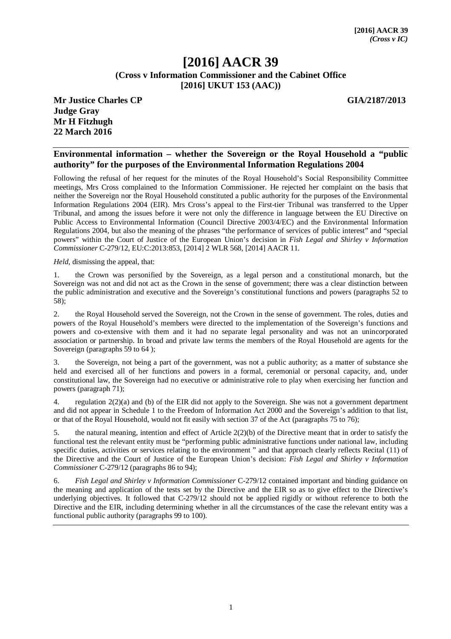# **[2016] AACR 39 (Cross v Information Commissioner and the Cabinet Office [2016] UKUT 153 (AAC))**

**Mr Justice Charles CP GIA/2187/2013 Judge Gray Mr H Fitzhugh 22 March 2016**

#### **Environmental information – whether the Sovereign or the Royal Household a "public authority" for the purposes of the Environmental Information Regulations 2004**

Following the refusal of her request for the minutes of the Royal Household's Social Responsibility Committee meetings, Mrs Cross complained to the Information Commissioner. He rejected her complaint on the basis that neither the Sovereign nor the Royal Household constituted a public authority for the purposes of the Environmental Information Regulations 2004 (EIR). Mrs Cross's appeal to the First-tier Tribunal was transferred to the Upper Tribunal, and among the issues before it were not only the difference in language between the EU Directive on Public Access to Environmental Information (Council Directive 2003/4/EC) and the Environmental Information Regulations 2004, but also the meaning of the phrases "the performance of services of public interest" and "special powers" within the Court of Justice of the European Union's decision in *Fish Legal and Shirley v Information Commissioner* C-279/12, EU:C:2013:853, [2014] 2 WLR 568, [2014] AACR 11.

*Held,* dismissing the appeal, that:

1. the Crown was personified by the Sovereign, as a legal person and a constitutional monarch, but the Sovereign was not and did not act as the Crown in the sense of government; there was a clear distinction between the public administration and executive and the Sovereign's constitutional functions and powers (paragraphs 52 to 58);

2. the Royal Household served the Sovereign, not the Crown in the sense of government. The roles, duties and powers of the Royal Household's members were directed to the implementation of the Sovereign's functions and powers and co-extensive with them and it had no separate legal personality and was not an unincorporated association or partnership. In broad and private law terms the members of the Royal Household are agents for the Sovereign (paragraphs 59 to 64);

3. the Sovereign, not being a part of the government, was not a public authority; as a matter of substance she held and exercised all of her functions and powers in a formal, ceremonial or personal capacity, and, under constitutional law, the Sovereign had no executive or administrative role to play when exercising her function and powers (paragraph 71);

4. regulation 2(2)(a) and (b) of the EIR did not apply to the Sovereign. She was not a government department and did not appear in Schedule 1 to the Freedom of Information Act 2000 and the Sovereign's addition to that list, or that of the Royal Household, would not fit easily with section 37 of the Act (paragraphs 75 to 76);

5. the natural meaning, intention and effect of Article 2(2)(b) of the Directive meant that in order to satisfy the functional test the relevant entity must be "performing public administrative functions under national law, including specific duties, activities or services relating to the environment " and that approach clearly reflects Recital (11) of the Directive and the Court of Justice of the European Union's decision: *Fish Legal and Shirley v Information Commissioner* C-279/12 (paragraphs 86 to 94);

6. *Fish Legal and Shirley v Information Commissioner* C-279/12 contained important and binding guidance on the meaning and application of the tests set by the Directive and the EIR so as to give effect to the Directive's underlying objectives. It followed that C-279/12 should not be applied rigidly or without reference to both the Directive and the EIR, including determining whether in all the circumstances of the case the relevant entity was a functional public authority (paragraphs 99 to 100).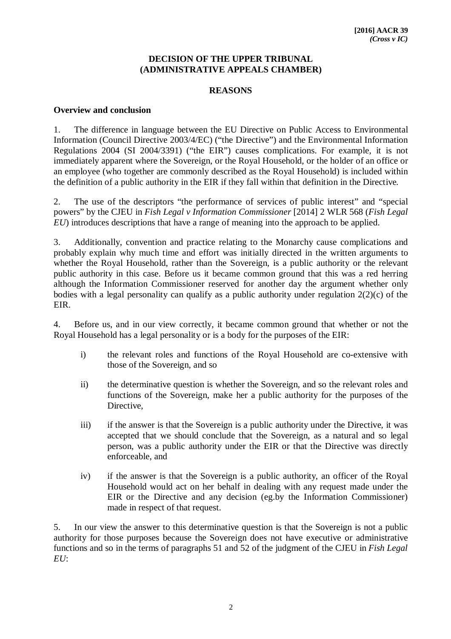### **DECISION OF THE UPPER TRIBUNAL (ADMINISTRATIVE APPEALS CHAMBER)**

### **REASONS**

#### **Overview and conclusion**

1. The difference in language between the EU Directive on Public Access to Environmental Information (Council Directive 2003/4/EC) ("the Directive") and the Environmental Information Regulations 2004 (SI 2004/3391) ("the EIR") causes complications. For example, it is not immediately apparent where the Sovereign, or the Royal Household, or the holder of an office or an employee (who together are commonly described as the Royal Household) is included within the definition of a public authority in the EIR if they fall within that definition in the Directive.

2. The use of the descriptors "the performance of services of public interest" and "special powers" by the CJEU in *Fish Legal v Information Commissioner* [2014] 2 WLR 568 (*Fish Legal EU*) introduces descriptions that have a range of meaning into the approach to be applied.

3. Additionally, convention and practice relating to the Monarchy cause complications and probably explain why much time and effort was initially directed in the written arguments to whether the Royal Household, rather than the Sovereign, is a public authority or the relevant public authority in this case. Before us it became common ground that this was a red herring although the Information Commissioner reserved for another day the argument whether only bodies with a legal personality can qualify as a public authority under regulation 2(2)(c) of the EIR.

4. Before us, and in our view correctly, it became common ground that whether or not the Royal Household has a legal personality or is a body for the purposes of the EIR:

- i) the relevant roles and functions of the Royal Household are co-extensive with those of the Sovereign, and so
- ii) the determinative question is whether the Sovereign, and so the relevant roles and functions of the Sovereign, make her a public authority for the purposes of the Directive,
- iii) if the answer is that the Sovereign is a public authority under the Directive, it was accepted that we should conclude that the Sovereign, as a natural and so legal person, was a public authority under the EIR or that the Directive was directly enforceable, and
- iv) if the answer is that the Sovereign is a public authority, an officer of the Royal Household would act on her behalf in dealing with any request made under the EIR or the Directive and any decision (eg.by the Information Commissioner) made in respect of that request.

5. In our view the answer to this determinative question is that the Sovereign is not a public authority for those purposes because the Sovereign does not have executive or administrative functions and so in the terms of paragraphs 51 and 52 of the judgment of the CJEU in *Fish Legal EU*: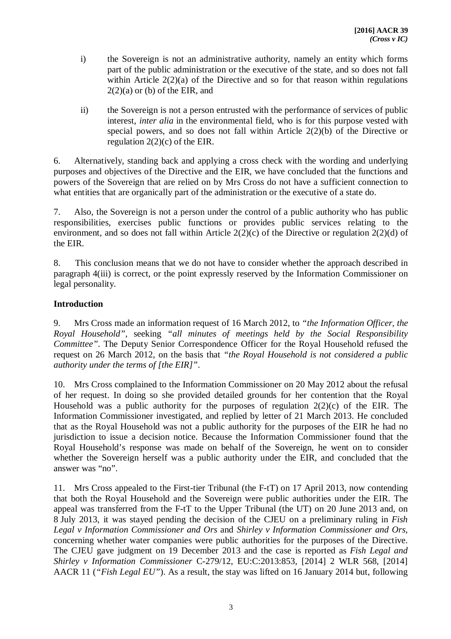- i) the Sovereign is not an administrative authority, namely an entity which forms part of the public administration or the executive of the state, and so does not fall within Article 2(2)(a) of the Directive and so for that reason within regulations  $2(2)(a)$  or (b) of the EIR, and
- ii) the Sovereign is not a person entrusted with the performance of services of public interest, *inter alia* in the environmental field, who is for this purpose vested with special powers, and so does not fall within Article  $2(2)(b)$  of the Directive or regulation  $2(2)(c)$  of the EIR.

6. Alternatively, standing back and applying a cross check with the wording and underlying purposes and objectives of the Directive and the EIR, we have concluded that the functions and powers of the Sovereign that are relied on by Mrs Cross do not have a sufficient connection to what entities that are organically part of the administration or the executive of a state do.

7. Also, the Sovereign is not a person under the control of a public authority who has public responsibilities, exercises public functions or provides public services relating to the environment, and so does not fall within Article 2(2)(c) of the Directive or regulation 2(2)(d) of the EIR.

8. This conclusion means that we do not have to consider whether the approach described in paragraph 4(iii) is correct, or the point expressly reserved by the Information Commissioner on legal personality.

# **Introduction**

9. Mrs Cross made an information request of 16 March 2012, to *"the Information Officer, the Royal Household",* seeking *"all minutes of meetings held by the Social Responsibility Committee".* The Deputy Senior Correspondence Officer for the Royal Household refused the request on 26 March 2012, on the basis that *"the Royal Household is not considered a public authority under the terms of [the EIR]"*.

10. Mrs Cross complained to the Information Commissioner on 20 May 2012 about the refusal of her request. In doing so she provided detailed grounds for her contention that the Royal Household was a public authority for the purposes of regulation  $2(2)(c)$  of the EIR. The Information Commissioner investigated, and replied by letter of 21 March 2013. He concluded that as the Royal Household was not a public authority for the purposes of the EIR he had no jurisdiction to issue a decision notice. Because the Information Commissioner found that the Royal Household's response was made on behalf of the Sovereign, he went on to consider whether the Sovereign herself was a public authority under the EIR, and concluded that the answer was "no".

11. Mrs Cross appealed to the First-tier Tribunal (the F-tT) on 17 April 2013, now contending that both the Royal Household and the Sovereign were public authorities under the EIR. The appeal was transferred from the F-tT to the Upper Tribunal (the UT) on 20 June 2013 and, on 8 July 2013, it was stayed pending the decision of the CJEU on a preliminary ruling in *Fish Legal v Information Commissioner and Ors* and *Shirley v Information Commissioner and Ors,*  concerning whether water companies were public authorities for the purposes of the Directive. The CJEU gave judgment on 19 December 2013 and the case is reported as *Fish Legal and Shirley v Information Commissioner* C-279/12, EU:C:2013:853, [2014] 2 WLR 568, [2014] AACR 11 (*"Fish Legal EU"*). As a result, the stay was lifted on 16 January 2014 but, following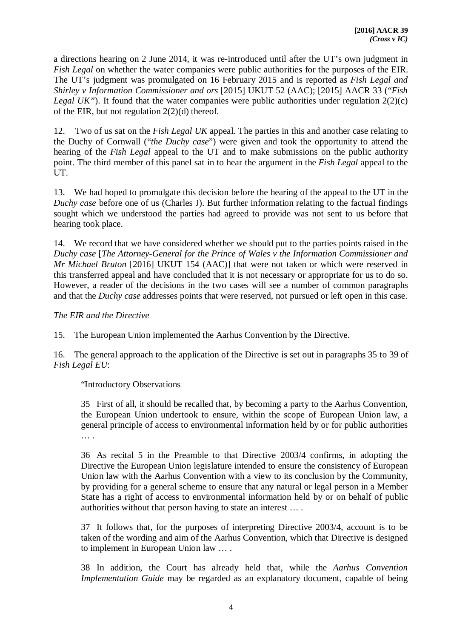a directions hearing on 2 June 2014, it was re-introduced until after the UT's own judgment in *Fish Legal* on whether the water companies were public authorities for the purposes of the EIR. The UT's judgment was promulgated on 16 February 2015 and is reported as *Fish Legal and Shirley v Information Commissioner and ors* [2015] UKUT 52 (AAC); [2015] AACR 33 ("*Fish Legal UK"*). It found that the water companies were public authorities under regulation 2(2)(c) of the EIR, but not regulation 2(2)(d) thereof.

12. Two of us sat on the *Fish Legal UK* appeal. The parties in this and another case relating to the Duchy of Cornwall ("*the Duchy case*") were given and took the opportunity to attend the hearing of the *Fish Legal* appeal to the UT and to make submissions on the public authority point. The third member of this panel sat in to hear the argument in the *Fish Legal* appeal to the UT.

13. We had hoped to promulgate this decision before the hearing of the appeal to the UT in the *Duchy case* before one of us (Charles J). But further information relating to the factual findings sought which we understood the parties had agreed to provide was not sent to us before that hearing took place.

14. We record that we have considered whether we should put to the parties points raised in the *Duchy case* [*The Attorney-General for the Prince of Wales v the Information Commissioner and Mr Michael Bruton* [2016] UKUT 154 (AAC)] that were not taken or which were reserved in this transferred appeal and have concluded that it is not necessary or appropriate for us to do so. However, a reader of the decisions in the two cases will see a number of common paragraphs and that the *Duchy case* addresses points that were reserved, not pursued or left open in this case.

### *The EIR and the Directive*

15. The European Union implemented the Aarhus Convention by the Directive.

16. The general approach to the application of the Directive is set out in paragraphs 35 to 39 of *Fish Legal EU*:

"Introductory Observations

35 First of all, it should be recalled that, by becoming a party to the Aarhus Convention, the European Union undertook to ensure, within the scope of European Union law, a general principle of access to environmental information held by or for public authorities … .

36 As recital 5 in the Preamble to that Directive 2003/4 confirms, in adopting the Directive the European Union legislature intended to ensure the consistency of European Union law with the Aarhus Convention with a view to its conclusion by the Community, by providing for a general scheme to ensure that any natural or legal person in a Member State has a right of access to environmental information held by or on behalf of public authorities without that person having to state an interest … .

37 It follows that, for the purposes of interpreting Directive 2003/4, account is to be taken of the wording and aim of the Aarhus Convention, which that Directive is designed to implement in European Union law … .

38 In addition, the Court has already held that, while the *Aarhus Convention Implementation Guide* may be regarded as an explanatory document, capable of being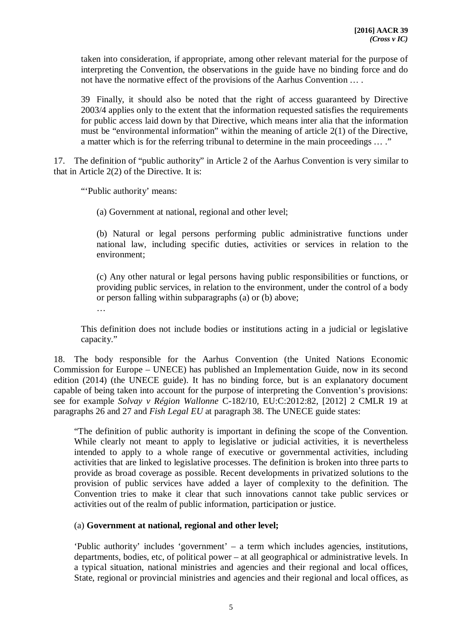taken into consideration, if appropriate, among other relevant material for the purpose of interpreting the Convention, the observations in the guide have no binding force and do not have the normative effect of the provisions of the Aarhus Convention … .

39 Finally, it should also be noted that the right of access guaranteed by Directive 2003/4 applies only to the extent that the information requested satisfies the requirements for public access laid down by that Directive, which means inter alia that the information must be "environmental information" within the meaning of article 2(1) of the Directive, a matter which is for the referring tribunal to determine in the main proceedings … ."

17. The definition of "public authority" in Article 2 of the Aarhus Convention is very similar to that in Article 2(2) of the Directive. It is:

"'Public authority' means:

(a) Government at national, regional and other level;

(b) Natural or legal persons performing public administrative functions under national law, including specific duties, activities or services in relation to the environment;

(c) Any other natural or legal persons having public responsibilities or functions, or providing public services, in relation to the environment, under the control of a body or person falling within subparagraphs (a) or (b) above;

…

This definition does not include bodies or institutions acting in a judicial or legislative capacity."

18. The body responsible for the Aarhus Convention (the United Nations Economic Commission for Europe – UNECE) has published an Implementation Guide, now in its second edition (2014) (the UNECE guide). It has no binding force, but is an explanatory document capable of being taken into account for the purpose of interpreting the Convention's provisions: see for example *Solvay v Région Wallonne* C-182/10*,* EU:C:2012:82, [2012] 2 CMLR 19 at paragraphs 26 and 27 and *Fish Legal EU* at paragraph 38. The UNECE guide states:

"The definition of public authority is important in defining the scope of the Convention. While clearly not meant to apply to legislative or judicial activities, it is nevertheless intended to apply to a whole range of executive or governmental activities, including activities that are linked to legislative processes. The definition is broken into three parts to provide as broad coverage as possible. Recent developments in privatized solutions to the provision of public services have added a layer of complexity to the definition. The Convention tries to make it clear that such innovations cannot take public services or activities out of the realm of public information, participation or justice.

# (a) **Government at national, regional and other level;**

'Public authority' includes 'government' – a term which includes agencies, institutions, departments, bodies, etc, of political power – at all geographical or administrative levels. In a typical situation, national ministries and agencies and their regional and local offices, State, regional or provincial ministries and agencies and their regional and local offices, as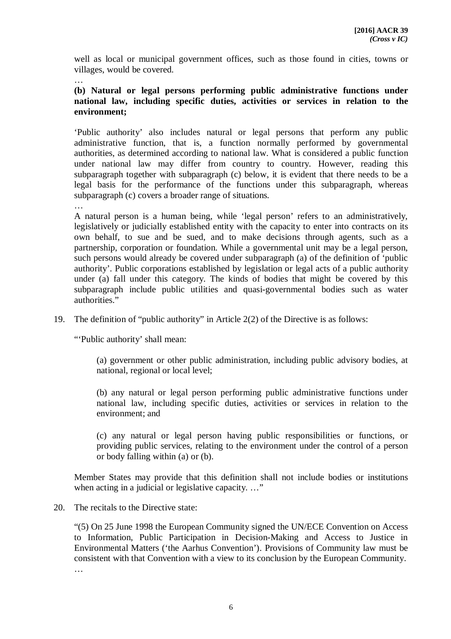well as local or municipal government offices, such as those found in cities, towns or villages, would be covered.

…

# **(b) Natural or legal persons performing public administrative functions under national law, including specific duties, activities or services in relation to the environment;**

'Public authority' also includes natural or legal persons that perform any public administrative function, that is, a function normally performed by governmental authorities, as determined according to national law. What is considered a public function under national law may differ from country to country. However, reading this subparagraph together with subparagraph (c) below, it is evident that there needs to be a legal basis for the performance of the functions under this subparagraph, whereas subparagraph (c) covers a broader range of situations.

…

A natural person is a human being, while 'legal person' refers to an administratively, legislatively or judicially established entity with the capacity to enter into contracts on its own behalf, to sue and be sued, and to make decisions through agents, such as a partnership, corporation or foundation. While a governmental unit may be a legal person, such persons would already be covered under subparagraph (a) of the definition of 'public authority'. Public corporations established by legislation or legal acts of a public authority under (a) fall under this category. The kinds of bodies that might be covered by this subparagraph include public utilities and quasi-governmental bodies such as water authorities."

19. The definition of "public authority" in Article 2(2) of the Directive is as follows:

"'Public authority' shall mean:

(a) government or other public administration, including public advisory bodies, at national, regional or local level;

(b) any natural or legal person performing public administrative functions under national law, including specific duties, activities or services in relation to the environment; and

(c) any natural or legal person having public responsibilities or functions, or providing public services, relating to the environment under the control of a person or body falling within (a) or (b).

Member States may provide that this definition shall not include bodies or institutions when acting in a judicial or legislative capacity. ..."

#### 20. The recitals to the Directive state:

"(5) On 25 June 1998 the European Community signed the UN/ECE Convention on Access to Information, Public Participation in Decision-Making and Access to Justice in Environmental Matters ('the Aarhus Convention'). Provisions of Community law must be consistent with that Convention with a view to its conclusion by the European Community. …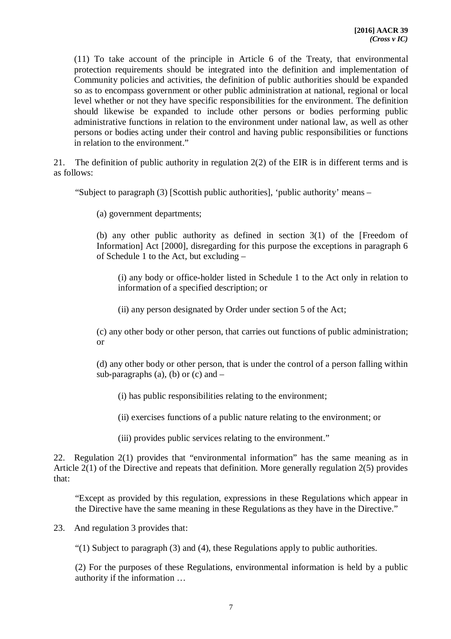(11) To take account of the principle in Article 6 of the Treaty, that environmental protection requirements should be integrated into the definition and implementation of Community policies and activities, the definition of public authorities should be expanded so as to encompass government or other public administration at national, regional or local level whether or not they have specific responsibilities for the environment. The definition should likewise be expanded to include other persons or bodies performing public administrative functions in relation to the environment under national law, as well as other persons or bodies acting under their control and having public responsibilities or functions in relation to the environment."

21. The definition of public authority in regulation 2(2) of the EIR is in different terms and is as follows:

"Subject to paragraph (3) [Scottish public authorities], 'public authority' means –

(a) government departments;

(b) any other public authority as defined in section 3(1) of the [Freedom of Information] Act [2000], disregarding for this purpose the exceptions in paragraph 6 of Schedule 1 to the Act, but excluding –

(i) any body or office-holder listed in Schedule 1 to the Act only in relation to information of a specified description; or

(ii) any person designated by Order under section 5 of the Act;

(c) any other body or other person, that carries out functions of public administration; or

(d) any other body or other person, that is under the control of a person falling within sub-paragraphs (a), (b) or (c) and  $-$ 

(i) has public responsibilities relating to the environment;

(ii) exercises functions of a public nature relating to the environment; or

(iii) provides public services relating to the environment."

22. Regulation 2(1) provides that "environmental information" has the same meaning as in Article 2(1) of the Directive and repeats that definition. More generally regulation 2(5) provides that:

"Except as provided by this regulation, expressions in these Regulations which appear in the Directive have the same meaning in these Regulations as they have in the Directive."

23. And regulation 3 provides that:

"(1) Subject to paragraph (3) and (4), these Regulations apply to public authorities.

(2) For the purposes of these Regulations, environmental information is held by a public authority if the information …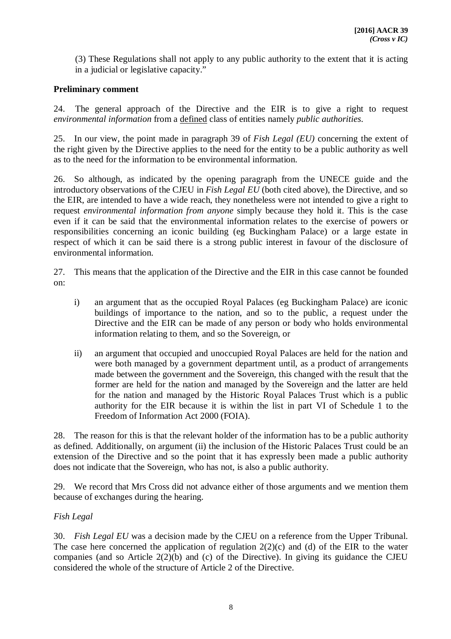(3) These Regulations shall not apply to any public authority to the extent that it is acting in a judicial or legislative capacity."

# **Preliminary comment**

24. The general approach of the Directive and the EIR is to give a right to request *environmental information* from a defined class of entities namely *public authorities*.

25. In our view, the point made in paragraph 39 of *Fish Legal (EU)* concerning the extent of the right given by the Directive applies to the need for the entity to be a public authority as well as to the need for the information to be environmental information.

26. So although, as indicated by the opening paragraph from the UNECE guide and the introductory observations of the CJEU in *Fish Legal EU* (both cited above), the Directive, and so the EIR, are intended to have a wide reach, they nonetheless were not intended to give a right to request *environmental information from anyone* simply because they hold it. This is the case even if it can be said that the environmental information relates to the exercise of powers or responsibilities concerning an iconic building (eg Buckingham Palace) or a large estate in respect of which it can be said there is a strong public interest in favour of the disclosure of environmental information.

27. This means that the application of the Directive and the EIR in this case cannot be founded on:

- i) an argument that as the occupied Royal Palaces (eg Buckingham Palace) are iconic buildings of importance to the nation, and so to the public, a request under the Directive and the EIR can be made of any person or body who holds environmental information relating to them, and so the Sovereign, or
- ii) an argument that occupied and unoccupied Royal Palaces are held for the nation and were both managed by a government department until, as a product of arrangements made between the government and the Sovereign, this changed with the result that the former are held for the nation and managed by the Sovereign and the latter are held for the nation and managed by the Historic Royal Palaces Trust which is a public authority for the EIR because it is within the list in part VI of Schedule 1 to the Freedom of Information Act 2000 (FOIA).

28. The reason for this is that the relevant holder of the information has to be a public authority as defined. Additionally, on argument (ii) the inclusion of the Historic Palaces Trust could be an extension of the Directive and so the point that it has expressly been made a public authority does not indicate that the Sovereign, who has not, is also a public authority.

29. We record that Mrs Cross did not advance either of those arguments and we mention them because of exchanges during the hearing.

# *Fish Legal*

30. *Fish Legal EU* was a decision made by the CJEU on a reference from the Upper Tribunal. The case here concerned the application of regulation  $2(2)(c)$  and (d) of the EIR to the water companies (and so Article 2(2)(b) and (c) of the Directive). In giving its guidance the CJEU considered the whole of the structure of Article 2 of the Directive.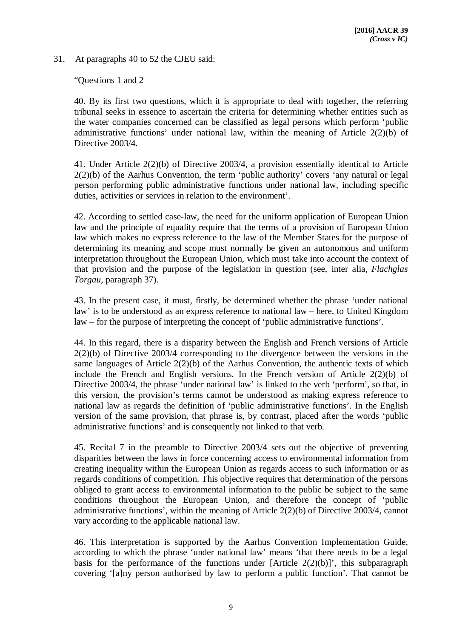31. At paragraphs 40 to 52 the CJEU said:

"Questions 1 and 2

40. By its first two questions, which it is appropriate to deal with together, the referring tribunal seeks in essence to ascertain the criteria for determining whether entities such as the water companies concerned can be classified as legal persons which perform 'public administrative functions' under national law, within the meaning of Article 2(2)(b) of Directive 2003/4.

41. Under Article 2(2)(b) of Directive 2003/4, a provision essentially identical to Article 2(2)(b) of the Aarhus Convention, the term 'public authority' covers 'any natural or legal person performing public administrative functions under national law, including specific duties, activities or services in relation to the environment'.

42. According to settled case-law, the need for the uniform application of European Union law and the principle of equality require that the terms of a provision of European Union law which makes no express reference to the law of the Member States for the purpose of determining its meaning and scope must normally be given an autonomous and uniform interpretation throughout the European Union, which must take into account the context of that provision and the purpose of the legislation in question (see, inter alia, *Flachglas Torgau*, paragraph 37).

43. In the present case, it must, firstly, be determined whether the phrase 'under national law' is to be understood as an express reference to national law – here, to United Kingdom law – for the purpose of interpreting the concept of 'public administrative functions'.

44. In this regard, there is a disparity between the English and French versions of Article 2(2)(b) of Directive 2003/4 corresponding to the divergence between the versions in the same languages of Article 2(2)(b) of the Aarhus Convention, the authentic texts of which include the French and English versions. In the French version of Article 2(2)(b) of Directive 2003/4, the phrase 'under national law' is linked to the verb 'perform', so that, in this version, the provision's terms cannot be understood as making express reference to national law as regards the definition of 'public administrative functions'. In the English version of the same provision, that phrase is, by contrast, placed after the words 'public administrative functions' and is consequently not linked to that verb.

45. Recital 7 in the preamble to Directive 2003/4 sets out the objective of preventing disparities between the laws in force concerning access to environmental information from creating inequality within the European Union as regards access to such information or as regards conditions of competition. This objective requires that determination of the persons obliged to grant access to environmental information to the public be subject to the same conditions throughout the European Union, and therefore the concept of 'public administrative functions', within the meaning of Article 2(2)(b) of Directive 2003/4, cannot vary according to the applicable national law.

46. This interpretation is supported by the Aarhus Convention Implementation Guide, according to which the phrase 'under national law' means 'that there needs to be a legal basis for the performance of the functions under [Article  $2(2)(b)$ ]', this subparagraph covering '[a]ny person authorised by law to perform a public function'. That cannot be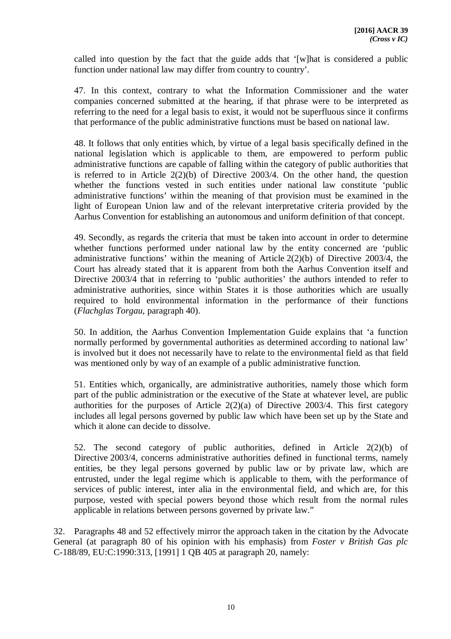called into question by the fact that the guide adds that '[w]hat is considered a public function under national law may differ from country to country'.

47. In this context, contrary to what the Information Commissioner and the water companies concerned submitted at the hearing, if that phrase were to be interpreted as referring to the need for a legal basis to exist, it would not be superfluous since it confirms that performance of the public administrative functions must be based on national law.

48. It follows that only entities which, by virtue of a legal basis specifically defined in the national legislation which is applicable to them, are empowered to perform public administrative functions are capable of falling within the category of public authorities that is referred to in Article  $2(2)(b)$  of Directive 2003/4. On the other hand, the question whether the functions vested in such entities under national law constitute 'public administrative functions' within the meaning of that provision must be examined in the light of European Union law and of the relevant interpretative criteria provided by the Aarhus Convention for establishing an autonomous and uniform definition of that concept.

49. Secondly, as regards the criteria that must be taken into account in order to determine whether functions performed under national law by the entity concerned are 'public administrative functions' within the meaning of Article 2(2)(b) of Directive 2003/4, the Court has already stated that it is apparent from both the Aarhus Convention itself and Directive 2003/4 that in referring to 'public authorities' the authors intended to refer to administrative authorities, since within States it is those authorities which are usually required to hold environmental information in the performance of their functions (*Flachglas Torgau*, paragraph 40).

50. In addition, the Aarhus Convention Implementation Guide explains that 'a function normally performed by governmental authorities as determined according to national law' is involved but it does not necessarily have to relate to the environmental field as that field was mentioned only by way of an example of a public administrative function.

51. Entities which, organically, are administrative authorities, namely those which form part of the public administration or the executive of the State at whatever level, are public authorities for the purposes of Article  $2(2)(a)$  of Directive 2003/4. This first category includes all legal persons governed by public law which have been set up by the State and which it alone can decide to dissolve.

52. The second category of public authorities, defined in Article 2(2)(b) of Directive 2003/4, concerns administrative authorities defined in functional terms, namely entities, be they legal persons governed by public law or by private law, which are entrusted, under the legal regime which is applicable to them, with the performance of services of public interest, inter alia in the environmental field, and which are, for this purpose, vested with special powers beyond those which result from the normal rules applicable in relations between persons governed by private law."

32. Paragraphs 48 and 52 effectively mirror the approach taken in the citation by the Advocate General (at paragraph 80 of his opinion with his emphasis) from *Foster v British Gas plc*  C-188/89, EU:C:1990:313, [1991] 1 QB 405 at paragraph 20, namely: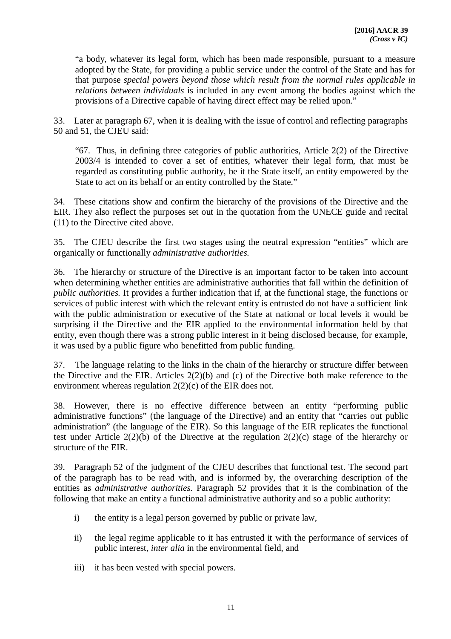"a body, whatever its legal form, which has been made responsible, pursuant to a measure adopted by the State, for providing a public service under the control of the State and has for that purpose *special powers beyond those which result from the normal rules applicable in relations between individuals* is included in any event among the bodies against which the provisions of a Directive capable of having direct effect may be relied upon."

33. Later at paragraph 67, when it is dealing with the issue of control and reflecting paragraphs 50 and 51, the CJEU said:

"67. Thus, in defining three categories of public authorities, Article 2(2) of the Directive 2003/4 is intended to cover a set of entities, whatever their legal form, that must be regarded as constituting public authority, be it the State itself, an entity empowered by the State to act on its behalf or an entity controlled by the State."

34. These citations show and confirm the hierarchy of the provisions of the Directive and the EIR. They also reflect the purposes set out in the quotation from the UNECE guide and recital (11) to the Directive cited above.

35. The CJEU describe the first two stages using the neutral expression "entities" which are organically or functionally *administrative authorities.*

36. The hierarchy or structure of the Directive is an important factor to be taken into account when determining whether entities are administrative authorities that fall within the definition of *public authorities.* It provides a further indication that if, at the functional stage, the functions or services of public interest with which the relevant entity is entrusted do not have a sufficient link with the public administration or executive of the State at national or local levels it would be surprising if the Directive and the EIR applied to the environmental information held by that entity, even though there was a strong public interest in it being disclosed because, for example, it was used by a public figure who benefitted from public funding.

37. The language relating to the links in the chain of the hierarchy or structure differ between the Directive and the EIR. Articles 2(2)(b) and (c) of the Directive both make reference to the environment whereas regulation 2(2)(c) of the EIR does not.

38. However, there is no effective difference between an entity "performing public administrative functions" (the language of the Directive) and an entity that "carries out public administration" (the language of the EIR). So this language of the EIR replicates the functional test under Article 2(2)(b) of the Directive at the regulation 2(2)(c) stage of the hierarchy or structure of the EIR.

39. Paragraph 52 of the judgment of the CJEU describes that functional test. The second part of the paragraph has to be read with, and is informed by, the overarching description of the entities as *administrative authorities.* Paragraph 52 provides that it is the combination of the following that make an entity a functional administrative authority and so a public authority:

- i) the entity is a legal person governed by public or private law,
- ii) the legal regime applicable to it has entrusted it with the performance of services of public interest, *inter alia* in the environmental field, and
- iii) it has been vested with special powers.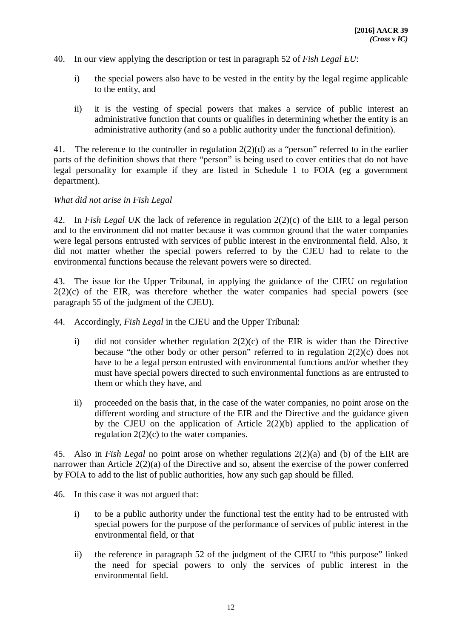- 40. In our view applying the description or test in paragraph 52 of *Fish Legal EU*:
	- i) the special powers also have to be vested in the entity by the legal regime applicable to the entity, and
	- ii) it is the vesting of special powers that makes a service of public interest an administrative function that counts or qualifies in determining whether the entity is an administrative authority (and so a public authority under the functional definition).

41. The reference to the controller in regulation 2(2)(d) as a "person" referred to in the earlier parts of the definition shows that there "person" is being used to cover entities that do not have legal personality for example if they are listed in Schedule 1 to FOIA (eg a government department).

*What did not arise in Fish Legal* 

42. In *Fish Legal UK* the lack of reference in regulation 2(2)(c) of the EIR to a legal person and to the environment did not matter because it was common ground that the water companies were legal persons entrusted with services of public interest in the environmental field. Also, it did not matter whether the special powers referred to by the CJEU had to relate to the environmental functions because the relevant powers were so directed.

43. The issue for the Upper Tribunal, in applying the guidance of the CJEU on regulation  $2(2)(c)$  of the EIR, was therefore whether the water companies had special powers (see paragraph 55 of the judgment of the CJEU).

- 44. Accordingly, *Fish Legal* in the CJEU and the Upper Tribunal:
	- i) did not consider whether regulation 2(2)(c) of the EIR is wider than the Directive because "the other body or other person" referred to in regulation 2(2)(c) does not have to be a legal person entrusted with environmental functions and/or whether they must have special powers directed to such environmental functions as are entrusted to them or which they have, and
	- ii) proceeded on the basis that, in the case of the water companies, no point arose on the different wording and structure of the EIR and the Directive and the guidance given by the CJEU on the application of Article 2(2)(b) applied to the application of regulation 2(2)(c) to the water companies.

45. Also in *Fish Legal* no point arose on whether regulations 2(2)(a) and (b) of the EIR are narrower than Article 2(2)(a) of the Directive and so, absent the exercise of the power conferred by FOIA to add to the list of public authorities, how any such gap should be filled.

- 46. In this case it was not argued that:
	- i) to be a public authority under the functional test the entity had to be entrusted with special powers for the purpose of the performance of services of public interest in the environmental field, or that
	- ii) the reference in paragraph 52 of the judgment of the CJEU to "this purpose" linked the need for special powers to only the services of public interest in the environmental field.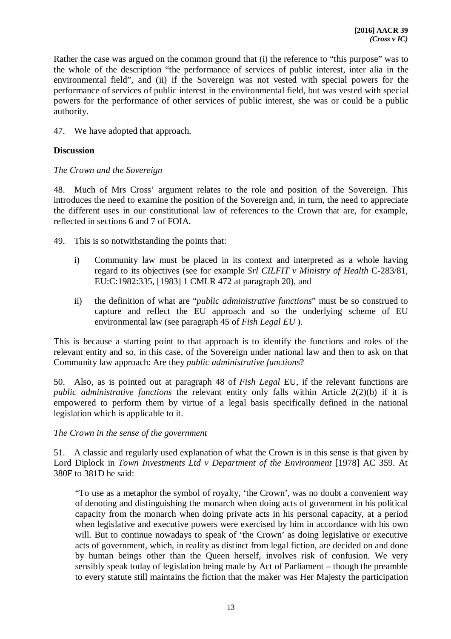Rather the case was argued on the common ground that (i) the reference to "this purpose" was to the whole of the description "the performance of services of public interest, inter alia in the environmental field", and (ii) if the Sovereign was not vested with special powers for the performance of services of public interest in the environmental field, but was vested with special powers for the performance of other services of public interest, she was or could be a public authority.

47. We have adopted that approach.

# **Discussion**

#### *The Crown and the Sovereign*

48. Much of Mrs Cross' argument relates to the role and position of the Sovereign. This introduces the need to examine the position of the Sovereign and, in turn, the need to appreciate the different uses in our constitutional law of references to the Crown that are, for example, reflected in sections 6 and 7 of FOIA.

49. This is so notwithstanding the points that:

- i) Community law must be placed in its context and interpreted as a whole having regard to its objectives (see for example *Srl CILFIT v Ministry of Health* C-283/81, EU:C:1982:335, [1983] 1 CMLR 472 at paragraph 20), and
- ii) the definition of what are "*public administrative functions*" must be so construed to capture and reflect the EU approach and so the underlying scheme of EU environmental law (see paragraph 45 of *Fish Legal EU* ).

This is because a starting point to that approach is to identify the functions and roles of the relevant entity and so, in this case, of the Sovereign under national law and then to ask on that Community law approach: Are they *public administrative functions*?

50. Also, as is pointed out at paragraph 48 of *Fish Legal* EU, if the relevant functions are *public administrative functions* the relevant entity only falls within Article 2(2)(b) if it is empowered to perform them by virtue of a legal basis specifically defined in the national legislation which is applicable to it.

*The Crown in the sense of the government*

51. A classic and regularly used explanation of what the Crown is in this sense is that given by Lord Diplock in *Town Investments Ltd v Department of the Environment* [1978] AC 359. At 380F to 381D he said:

"To use as a metaphor the symbol of royalty, 'the Crown', was no doubt a convenient way of denoting and distinguishing the monarch when doing acts of government in his political capacity from the monarch when doing private acts in his personal capacity, at a period when legislative and executive powers were exercised by him in accordance with his own will. But to continue nowadays to speak of 'the Crown' as doing legislative or executive acts of government, which, in reality as distinct from legal fiction, are decided on and done by human beings other than the Queen herself, involves risk of confusion. We very sensibly speak today of legislation being made by Act of Parliament – though the preamble to every statute still maintains the fiction that the maker was Her Majesty the participation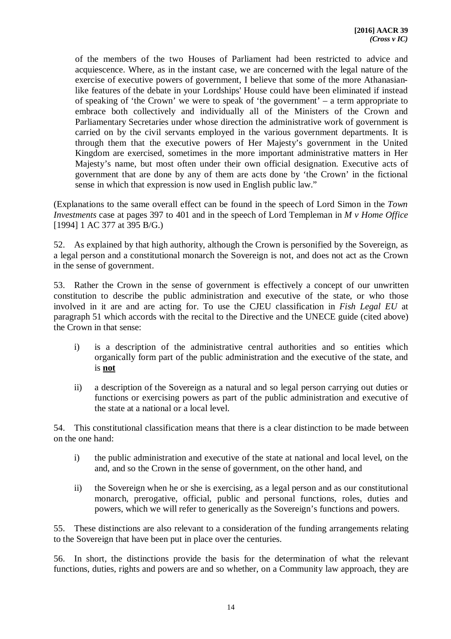of the members of the two Houses of Parliament had been restricted to advice and acquiescence. Where, as in the instant case, we are concerned with the legal nature of the exercise of executive powers of government, I believe that some of the more Athanasianlike features of the debate in your Lordships' House could have been eliminated if instead of speaking of 'the Crown' we were to speak of 'the government' – a term appropriate to embrace both collectively and individually all of the Ministers of the Crown and Parliamentary Secretaries under whose direction the administrative work of government is carried on by the civil servants employed in the various government departments. It is through them that the executive powers of Her Majesty's government in the United Kingdom are exercised, sometimes in the more important administrative matters in Her Majesty's name, but most often under their own official designation. Executive acts of government that are done by any of them are acts done by 'the Crown' in the fictional sense in which that expression is now used in English public law."

(Explanations to the same overall effect can be found in the speech of Lord Simon in the *Town Investments* case at pages 397 to 401 and in the speech of Lord Templeman in *M v Home Office*  [1994] 1 AC 377 at 395 B/G.)

52. As explained by that high authority, although the Crown is personified by the Sovereign, as a legal person and a constitutional monarch the Sovereign is not, and does not act as the Crown in the sense of government.

53. Rather the Crown in the sense of government is effectively a concept of our unwritten constitution to describe the public administration and executive of the state, or who those involved in it are and are acting for. To use the CJEU classification in *Fish Legal EU* at paragraph 51 which accords with the recital to the Directive and the UNECE guide (cited above) the Crown in that sense:

- i) is a description of the administrative central authorities and so entities which organically form part of the public administration and the executive of the state, and is **not**
- ii) a description of the Sovereign as a natural and so legal person carrying out duties or functions or exercising powers as part of the public administration and executive of the state at a national or a local level.

54. This constitutional classification means that there is a clear distinction to be made between on the one hand:

- i) the public administration and executive of the state at national and local level, on the and, and so the Crown in the sense of government, on the other hand, and
- ii) the Sovereign when he or she is exercising, as a legal person and as our constitutional monarch, prerogative, official, public and personal functions, roles, duties and powers, which we will refer to generically as the Sovereign's functions and powers.

55. These distinctions are also relevant to a consideration of the funding arrangements relating to the Sovereign that have been put in place over the centuries.

56. In short, the distinctions provide the basis for the determination of what the relevant functions, duties, rights and powers are and so whether, on a Community law approach, they are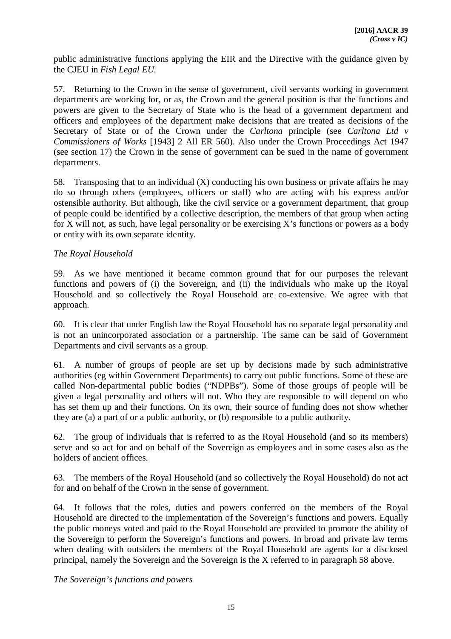public administrative functions applying the EIR and the Directive with the guidance given by the CJEU in *Fish Legal EU.*

57. Returning to the Crown in the sense of government, civil servants working in government departments are working for, or as, the Crown and the general position is that the functions and powers are given to the Secretary of State who is the head of a government department and officers and employees of the department make decisions that are treated as decisions of the Secretary of State or of the Crown under the *Carltona* principle (see *Carltona Ltd v Commissioners of Works* [1943] 2 All ER 560). Also under the Crown Proceedings Act 1947 (see section 17) the Crown in the sense of government can be sued in the name of government departments.

58. Transposing that to an individual (X) conducting his own business or private affairs he may do so through others (employees, officers or staff) who are acting with his express and/or ostensible authority. But although, like the civil service or a government department, that group of people could be identified by a collective description, the members of that group when acting for X will not, as such, have legal personality or be exercising X's functions or powers as a body or entity with its own separate identity.

### *The Royal Household*

59. As we have mentioned it became common ground that for our purposes the relevant functions and powers of (i) the Sovereign, and (ii) the individuals who make up the Royal Household and so collectively the Royal Household are co-extensive. We agree with that approach.

60. It is clear that under English law the Royal Household has no separate legal personality and is not an unincorporated association or a partnership. The same can be said of Government Departments and civil servants as a group.

61. A number of groups of people are set up by decisions made by such administrative authorities (eg within Government Departments) to carry out public functions. Some of these are called Non-departmental public bodies ("NDPBs"). Some of those groups of people will be given a legal personality and others will not. Who they are responsible to will depend on who has set them up and their functions. On its own, their source of funding does not show whether they are (a) a part of or a public authority, or (b) responsible to a public authority.

62. The group of individuals that is referred to as the Royal Household (and so its members) serve and so act for and on behalf of the Sovereign as employees and in some cases also as the holders of ancient offices.

63. The members of the Royal Household (and so collectively the Royal Household) do not act for and on behalf of the Crown in the sense of government.

64. It follows that the roles, duties and powers conferred on the members of the Royal Household are directed to the implementation of the Sovereign's functions and powers. Equally the public moneys voted and paid to the Royal Household are provided to promote the ability of the Sovereign to perform the Sovereign's functions and powers. In broad and private law terms when dealing with outsiders the members of the Royal Household are agents for a disclosed principal, namely the Sovereign and the Sovereign is the X referred to in paragraph 58 above.

*The Sovereign's functions and powers*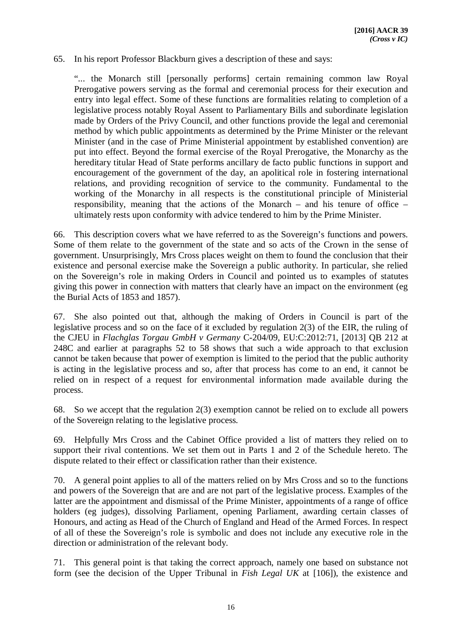#### 65. In his report Professor Blackburn gives a description of these and says:

"... the Monarch still [personally performs] certain remaining common law Royal Prerogative powers serving as the formal and ceremonial process for their execution and entry into legal effect. Some of these functions are formalities relating to completion of a legislative process notably Royal Assent to Parliamentary Bills and subordinate legislation made by Orders of the Privy Council, and other functions provide the legal and ceremonial method by which public appointments as determined by the Prime Minister or the relevant Minister (and in the case of Prime Ministerial appointment by established convention) are put into effect. Beyond the formal exercise of the Royal Prerogative, the Monarchy as the hereditary titular Head of State performs ancillary de facto public functions in support and encouragement of the government of the day, an apolitical role in fostering international relations, and providing recognition of service to the community. Fundamental to the working of the Monarchy in all respects is the constitutional principle of Ministerial responsibility, meaning that the actions of the Monarch – and his tenure of office – ultimately rests upon conformity with advice tendered to him by the Prime Minister.

66. This description covers what we have referred to as the Sovereign's functions and powers. Some of them relate to the government of the state and so acts of the Crown in the sense of government. Unsurprisingly, Mrs Cross places weight on them to found the conclusion that their existence and personal exercise make the Sovereign a public authority. In particular, she relied on the Sovereign's role in making Orders in Council and pointed us to examples of statutes giving this power in connection with matters that clearly have an impact on the environment (eg the Burial Acts of 1853 and 1857).

67. She also pointed out that, although the making of Orders in Council is part of the legislative process and so on the face of it excluded by regulation 2(3) of the EIR, the ruling of the CJEU in *Flachglas Torgau GmbH v Germany* C-204/09, EU:C:2012:71, [2013] QB 212 at 248C and earlier at paragraphs 52 to 58 shows that such a wide approach to that exclusion cannot be taken because that power of exemption is limited to the period that the public authority is acting in the legislative process and so, after that process has come to an end, it cannot be relied on in respect of a request for environmental information made available during the process.

68. So we accept that the regulation 2(3) exemption cannot be relied on to exclude all powers of the Sovereign relating to the legislative process.

69. Helpfully Mrs Cross and the Cabinet Office provided a list of matters they relied on to support their rival contentions. We set them out in Parts 1 and 2 of the Schedule hereto. The dispute related to their effect or classification rather than their existence.

70. A general point applies to all of the matters relied on by Mrs Cross and so to the functions and powers of the Sovereign that are and are not part of the legislative process. Examples of the latter are the appointment and dismissal of the Prime Minister, appointments of a range of office holders (eg judges), dissolving Parliament, opening Parliament, awarding certain classes of Honours, and acting as Head of the Church of England and Head of the Armed Forces. In respect of all of these the Sovereign's role is symbolic and does not include any executive role in the direction or administration of the relevant body.

71. This general point is that taking the correct approach, namely one based on substance not form (see the decision of the Upper Tribunal in *Fish Legal UK* at [106]), the existence and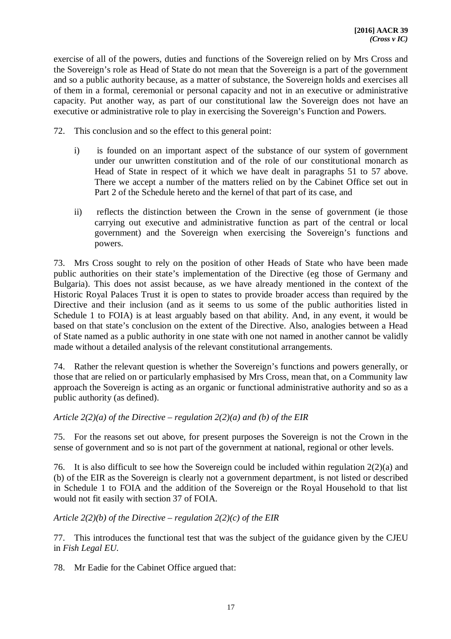exercise of all of the powers, duties and functions of the Sovereign relied on by Mrs Cross and the Sovereign's role as Head of State do not mean that the Sovereign is a part of the government and so a public authority because, as a matter of substance, the Sovereign holds and exercises all of them in a formal, ceremonial or personal capacity and not in an executive or administrative capacity. Put another way, as part of our constitutional law the Sovereign does not have an executive or administrative role to play in exercising the Sovereign's Function and Powers.

- 72. This conclusion and so the effect to this general point:
	- i) is founded on an important aspect of the substance of our system of government under our unwritten constitution and of the role of our constitutional monarch as Head of State in respect of it which we have dealt in paragraphs 51 to 57 above. There we accept a number of the matters relied on by the Cabinet Office set out in Part 2 of the Schedule hereto and the kernel of that part of its case, and
	- ii) reflects the distinction between the Crown in the sense of government (ie those carrying out executive and administrative function as part of the central or local government) and the Sovereign when exercising the Sovereign's functions and powers.

73. Mrs Cross sought to rely on the position of other Heads of State who have been made public authorities on their state's implementation of the Directive (eg those of Germany and Bulgaria). This does not assist because, as we have already mentioned in the context of the Historic Royal Palaces Trust it is open to states to provide broader access than required by the Directive and their inclusion (and as it seems to us some of the public authorities listed in Schedule 1 to FOIA) is at least arguably based on that ability. And, in any event, it would be based on that state's conclusion on the extent of the Directive. Also, analogies between a Head of State named as a public authority in one state with one not named in another cannot be validly made without a detailed analysis of the relevant constitutional arrangements.

74. Rather the relevant question is whether the Sovereign's functions and powers generally, or those that are relied on or particularly emphasised by Mrs Cross, mean that, on a Community law approach the Sovereign is acting as an organic or functional administrative authority and so as a public authority (as defined).

#### *Article 2(2)(a) of the Directive – regulation 2(2)(a) and (b) of the EIR*

75. For the reasons set out above, for present purposes the Sovereign is not the Crown in the sense of government and so is not part of the government at national, regional or other levels.

76. It is also difficult to see how the Sovereign could be included within regulation 2(2)(a) and (b) of the EIR as the Sovereign is clearly not a government department, is not listed or described in Schedule 1 to FOIA and the addition of the Sovereign or the Royal Household to that list would not fit easily with section 37 of FOIA.

#### *Article 2(2)(b) of the Directive – regulation 2(2)(c) of the EIR*

77. This introduces the functional test that was the subject of the guidance given by the CJEU in *Fish Legal EU.*

78. Mr Eadie for the Cabinet Office argued that: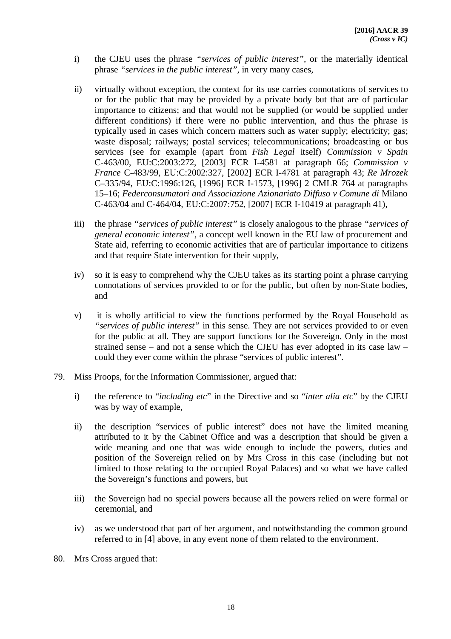- i) the CJEU uses the phrase *"services of public interest",* or the materially identical phrase *"services in the public interest"*, in very many cases,
- ii) virtually without exception, the context for its use carries connotations of services to or for the public that may be provided by a private body but that are of particular importance to citizens; and that would not be supplied (or would be supplied under different conditions) if there were no public intervention, and thus the phrase is typically used in cases which concern matters such as water supply; electricity; gas; waste disposal; railways; postal services; telecommunications; broadcasting or bus services (see for example (apart from *Fish Legal* itself) *Commission v Spain*  C-463/00, EU:C:2003:272, [2003] ECR I-4581 at paragraph 66; *Commission v France* C-483/99*,* EU:C:2002:327, [2002] ECR I-4781 at paragraph 43; *Re Mrozek*  C–335/94*,* EU:C:1996:126, [1996] ECR I-1573, [1996] 2 CMLR 764 at paragraphs 15–16; *Federconsumatori and Associazione Azionariato Diffuso v Comune di* Milano C-463/04 and C-464/04*,* EU:C:2007:752, [2007] ECR I-10419 at paragraph 41),
- iii) the phrase *"services of public interest"* is closely analogous to the phrase *"services of general economic interest",* a concept well known in the EU law of procurement and State aid, referring to economic activities that are of particular importance to citizens and that require State intervention for their supply,
- iv) so it is easy to comprehend why the CJEU takes as its starting point a phrase carrying connotations of services provided to or for the public, but often by non-State bodies, and
- v) it is wholly artificial to view the functions performed by the Royal Household as *"services of public interest"* in this sense. They are not services provided to or even for the public at all. They are support functions for the Sovereign. Only in the most strained sense – and not a sense which the CJEU has ever adopted in its case law – could they ever come within the phrase "services of public interest".
- 79. Miss Proops, for the Information Commissioner, argued that:
	- i) the reference to "*including etc*" in the Directive and so "*inter alia etc*" by the CJEU was by way of example,
	- ii) the description "services of public interest" does not have the limited meaning attributed to it by the Cabinet Office and was a description that should be given a wide meaning and one that was wide enough to include the powers, duties and position of the Sovereign relied on by Mrs Cross in this case (including but not limited to those relating to the occupied Royal Palaces) and so what we have called the Sovereign's functions and powers, but
	- iii) the Sovereign had no special powers because all the powers relied on were formal or ceremonial, and
	- iv) as we understood that part of her argument, and notwithstanding the common ground referred to in [4] above, in any event none of them related to the environment.
- 80. Mrs Cross argued that: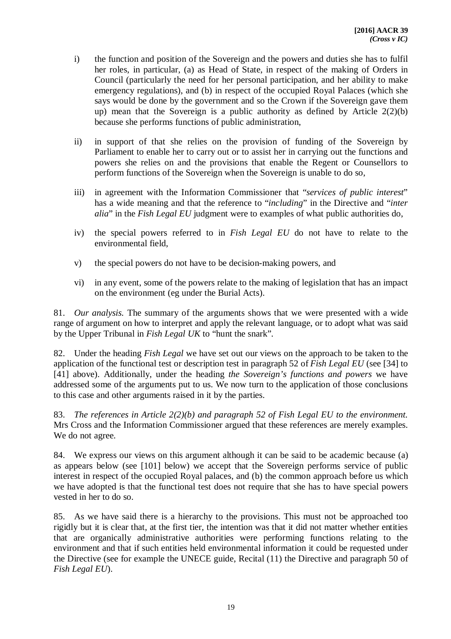- i) the function and position of the Sovereign and the powers and duties she has to fulfil her roles, in particular, (a) as Head of State, in respect of the making of Orders in Council (particularly the need for her personal participation, and her ability to make emergency regulations), and (b) in respect of the occupied Royal Palaces (which she says would be done by the government and so the Crown if the Sovereign gave them up) mean that the Sovereign is a public authority as defined by Article 2(2)(b) because she performs functions of public administration,
- ii) in support of that she relies on the provision of funding of the Sovereign by Parliament to enable her to carry out or to assist her in carrying out the functions and powers she relies on and the provisions that enable the Regent or Counsellors to perform functions of the Sovereign when the Sovereign is unable to do so,
- iii) in agreement with the Information Commissioner that "*services of public interest*" has a wide meaning and that the reference to "*including*" in the Directive and "*inter alia*" in the *Fish Legal EU* judgment were to examples of what public authorities do,
- iv) the special powers referred to in *Fish Legal EU* do not have to relate to the environmental field,
- v) the special powers do not have to be decision-making powers, and
- vi) in any event, some of the powers relate to the making of legislation that has an impact on the environment (eg under the Burial Acts).

81. *Our analysis.* The summary of the arguments shows that we were presented with a wide range of argument on how to interpret and apply the relevant language, or to adopt what was said by the Upper Tribunal in *Fish Legal UK* to "hunt the snark"*.* 

82. Under the heading *Fish Legal* we have set out our views on the approach to be taken to the application of the functional test or description test in paragraph 52 of *Fish Legal EU* (see [34] to [41] above). Additionally, under the heading *the Sovereign's functions and powers* we have addressed some of the arguments put to us. We now turn to the application of those conclusions to this case and other arguments raised in it by the parties.

83. *The references in Article 2(2)(b) and paragraph 52 of Fish Legal EU to the environment.* Mrs Cross and the Information Commissioner argued that these references are merely examples. We do not agree.

84. We express our views on this argument although it can be said to be academic because (a) as appears below (see [101] below) we accept that the Sovereign performs service of public interest in respect of the occupied Royal palaces, and (b) the common approach before us which we have adopted is that the functional test does not require that she has to have special powers vested in her to do so.

85. As we have said there is a hierarchy to the provisions. This must not be approached too rigidly but it is clear that, at the first tier, the intention was that it did not matter whether entities that are organically administrative authorities were performing functions relating to the environment and that if such entities held environmental information it could be requested under the Directive (see for example the UNECE guide, Recital (11) the Directive and paragraph 50 of *Fish Legal EU*).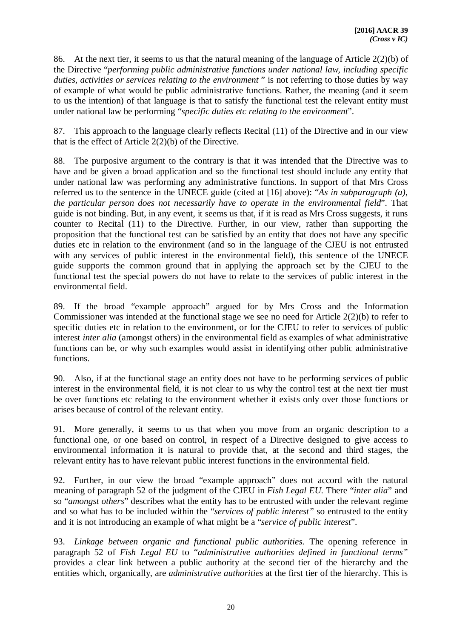86. At the next tier, it seems to us that the natural meaning of the language of Article 2(2)(b) of the Directive "*performing public administrative functions under national law, including specific* duties, activities or services relating to the environment" is not referring to those duties by way of example of what would be public administrative functions. Rather, the meaning (and it seem to us the intention) of that language is that to satisfy the functional test the relevant entity must under national law be performing "*specific duties etc relating to the environment*".

87. This approach to the language clearly reflects Recital (11) of the Directive and in our view that is the effect of Article 2(2)(b) of the Directive.

88. The purposive argument to the contrary is that it was intended that the Directive was to have and be given a broad application and so the functional test should include any entity that under national law was performing any administrative functions. In support of that Mrs Cross referred us to the sentence in the UNECE guide (cited at [16] above): "*As in subparagraph (a), the particular person does not necessarily have to operate in the environmental field*". That guide is not binding. But, in any event, it seems us that, if it is read as Mrs Cross suggests, it runs counter to Recital (11) to the Directive. Further, in our view, rather than supporting the proposition that the functional test can be satisfied by an entity that does not have any specific duties etc in relation to the environment (and so in the language of the CJEU is not entrusted with any services of public interest in the environmental field), this sentence of the UNECE guide supports the common ground that in applying the approach set by the CJEU to the functional test the special powers do not have to relate to the services of public interest in the environmental field.

89. If the broad "example approach" argued for by Mrs Cross and the Information Commissioner was intended at the functional stage we see no need for Article 2(2)(b) to refer to specific duties etc in relation to the environment, or for the CJEU to refer to services of public interest *inter alia* (amongst others) in the environmental field as examples of what administrative functions can be, or why such examples would assist in identifying other public administrative functions.

90. Also, if at the functional stage an entity does not have to be performing services of public interest in the environmental field, it is not clear to us why the control test at the next tier must be over functions etc relating to the environment whether it exists only over those functions or arises because of control of the relevant entity.

91. More generally, it seems to us that when you move from an organic description to a functional one, or one based on control, in respect of a Directive designed to give access to environmental information it is natural to provide that, at the second and third stages, the relevant entity has to have relevant public interest functions in the environmental field.

92. Further, in our view the broad "example approach" does not accord with the natural meaning of paragraph 52 of the judgment of the CJEU in *Fish Legal EU.* There "*inter alia*" and so "*amongst others*" describes what the entity has to be entrusted with under the relevant regime and so what has to be included within the "*services of public interest"* so entrusted to the entity and it is not introducing an example of what might be a "*service of public interest*".

93. *Linkage between organic and functional public authorities.* The opening reference in paragraph 52 of *Fish Legal EU* to "*administrative authorities defined in functional terms"*  provides a clear link between a public authority at the second tier of the hierarchy and the entities which, organically, are *administrative authorities* at the first tier of the hierarchy. This is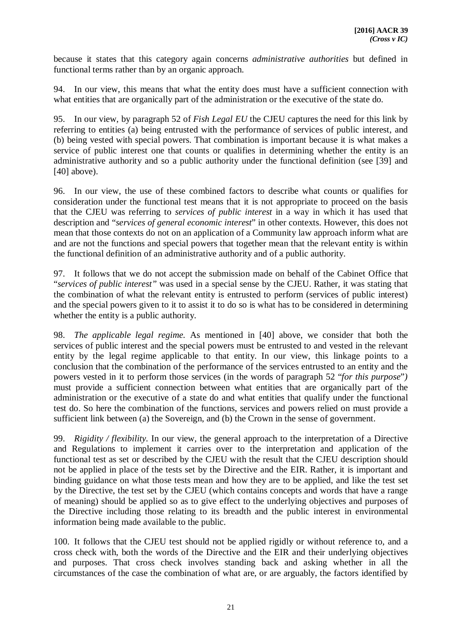because it states that this category again concerns *administrative authorities* but defined in functional terms rather than by an organic approach.

94. In our view, this means that what the entity does must have a sufficient connection with what entities that are organically part of the administration or the executive of the state do.

95. In our view, by paragraph 52 of *Fish Legal EU* the CJEU captures the need for this link by referring to entities (a) being entrusted with the performance of services of public interest, and (b) being vested with special powers. That combination is important because it is what makes a service of public interest one that counts or qualifies in determining whether the entity is an administrative authority and so a public authority under the functional definition (see [39] and  $[40]$  above).

96. In our view, the use of these combined factors to describe what counts or qualifies for consideration under the functional test means that it is not appropriate to proceed on the basis that the CJEU was referring to *services of public interest* in a way in which it has used that description and "*services of general economic interest*" in other contexts. However, this does not mean that those contexts do not on an application of a Community law approach inform what are and are not the functions and special powers that together mean that the relevant entity is within the functional definition of an administrative authority and of a public authority.

97. It follows that we do not accept the submission made on behalf of the Cabinet Office that "*services of public interest"* was used in a special sense by the CJEU. Rather, it was stating that the combination of what the relevant entity is entrusted to perform (services of public interest) and the special powers given to it to assist it to do so is what has to be considered in determining whether the entity is a public authority.

98. *The applicable legal regime.* As mentioned in [40] above, we consider that both the services of public interest and the special powers must be entrusted to and vested in the relevant entity by the legal regime applicable to that entity. In our view, this linkage points to a conclusion that the combination of the performance of the services entrusted to an entity and the powers vested in it to perform those services (in the words of paragraph 52 "*for this purpose*"*)* must provide a sufficient connection between what entities that are organically part of the administration or the executive of a state do and what entities that qualify under the functional test do. So here the combination of the functions, services and powers relied on must provide a sufficient link between (a) the Sovereign, and (b) the Crown in the sense of government.

99. *Rigidity / flexibility.* In our view, the general approach to the interpretation of a Directive and Regulations to implement it carries over to the interpretation and application of the functional test as set or described by the CJEU with the result that the CJEU description should not be applied in place of the tests set by the Directive and the EIR. Rather, it is important and binding guidance on what those tests mean and how they are to be applied, and like the test set by the Directive, the test set by the CJEU (which contains concepts and words that have a range of meaning) should be applied so as to give effect to the underlying objectives and purposes of the Directive including those relating to its breadth and the public interest in environmental information being made available to the public.

100. It follows that the CJEU test should not be applied rigidly or without reference to, and a cross check with, both the words of the Directive and the EIR and their underlying objectives and purposes. That cross check involves standing back and asking whether in all the circumstances of the case the combination of what are, or are arguably, the factors identified by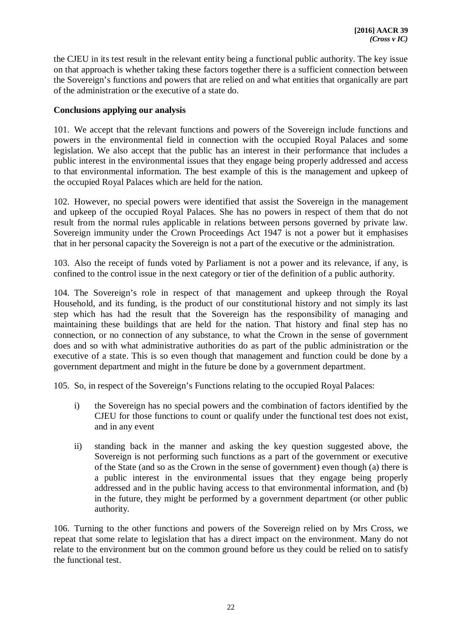the CJEU in its test result in the relevant entity being a functional public authority. The key issue on that approach is whether taking these factors together there is a sufficient connection between the Sovereign's functions and powers that are relied on and what entities that organically are part of the administration or the executive of a state do.

# **Conclusions applying our analysis**

101. We accept that the relevant functions and powers of the Sovereign include functions and powers in the environmental field in connection with the occupied Royal Palaces and some legislation. We also accept that the public has an interest in their performance that includes a public interest in the environmental issues that they engage being properly addressed and access to that environmental information. The best example of this is the management and upkeep of the occupied Royal Palaces which are held for the nation.

102. However, no special powers were identified that assist the Sovereign in the management and upkeep of the occupied Royal Palaces. She has no powers in respect of them that do not result from the normal rules applicable in relations between persons governed by private law. Sovereign immunity under the Crown Proceedings Act 1947 is not a power but it emphasises that in her personal capacity the Sovereign is not a part of the executive or the administration.

103. Also the receipt of funds voted by Parliament is not a power and its relevance, if any, is confined to the control issue in the next category or tier of the definition of a public authority.

104. The Sovereign's role in respect of that management and upkeep through the Royal Household, and its funding, is the product of our constitutional history and not simply its last step which has had the result that the Sovereign has the responsibility of managing and maintaining these buildings that are held for the nation. That history and final step has no connection, or no connection of any substance, to what the Crown in the sense of government does and so with what administrative authorities do as part of the public administration or the executive of a state. This is so even though that management and function could be done by a government department and might in the future be done by a government department.

105. So, in respect of the Sovereign's Functions relating to the occupied Royal Palaces:

- i) the Sovereign has no special powers and the combination of factors identified by the CJEU for those functions to count or qualify under the functional test does not exist, and in any event
- ii) standing back in the manner and asking the key question suggested above, the Sovereign is not performing such functions as a part of the government or executive of the State (and so as the Crown in the sense of government) even though (a) there is a public interest in the environmental issues that they engage being properly addressed and in the public having access to that environmental information, and (b) in the future, they might be performed by a government department (or other public authority.

106. Turning to the other functions and powers of the Sovereign relied on by Mrs Cross, we repeat that some relate to legislation that has a direct impact on the environment. Many do not relate to the environment but on the common ground before us they could be relied on to satisfy the functional test.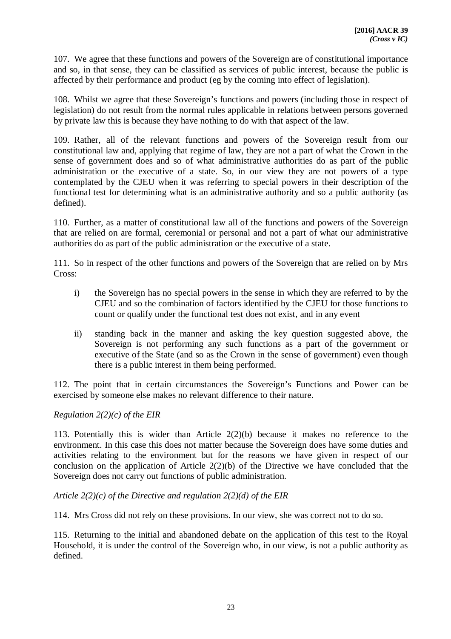107. We agree that these functions and powers of the Sovereign are of constitutional importance and so, in that sense, they can be classified as services of public interest, because the public is affected by their performance and product (eg by the coming into effect of legislation).

108. Whilst we agree that these Sovereign's functions and powers (including those in respect of legislation) do not result from the normal rules applicable in relations between persons governed by private law this is because they have nothing to do with that aspect of the law.

109. Rather, all of the relevant functions and powers of the Sovereign result from our constitutional law and, applying that regime of law, they are not a part of what the Crown in the sense of government does and so of what administrative authorities do as part of the public administration or the executive of a state. So, in our view they are not powers of a type contemplated by the CJEU when it was referring to special powers in their description of the functional test for determining what is an administrative authority and so a public authority (as defined).

110. Further, as a matter of constitutional law all of the functions and powers of the Sovereign that are relied on are formal, ceremonial or personal and not a part of what our administrative authorities do as part of the public administration or the executive of a state.

111. So in respect of the other functions and powers of the Sovereign that are relied on by Mrs Cross:

- i) the Sovereign has no special powers in the sense in which they are referred to by the CJEU and so the combination of factors identified by the CJEU for those functions to count or qualify under the functional test does not exist, and in any event
- ii) standing back in the manner and asking the key question suggested above, the Sovereign is not performing any such functions as a part of the government or executive of the State (and so as the Crown in the sense of government) even though there is a public interest in them being performed.

112. The point that in certain circumstances the Sovereign's Functions and Power can be exercised by someone else makes no relevant difference to their nature.

# *Regulation 2(2)(c) of the EIR*

113. Potentially this is wider than Article 2(2)(b) because it makes no reference to the environment. In this case this does not matter because the Sovereign does have some duties and activities relating to the environment but for the reasons we have given in respect of our conclusion on the application of Article 2(2)(b) of the Directive we have concluded that the Sovereign does not carry out functions of public administration.

# *Article 2(2)(c) of the Directive and regulation 2(2)(d) of the EIR*

114. Mrs Cross did not rely on these provisions. In our view, she was correct not to do so.

115. Returning to the initial and abandoned debate on the application of this test to the Royal Household, it is under the control of the Sovereign who, in our view, is not a public authority as defined.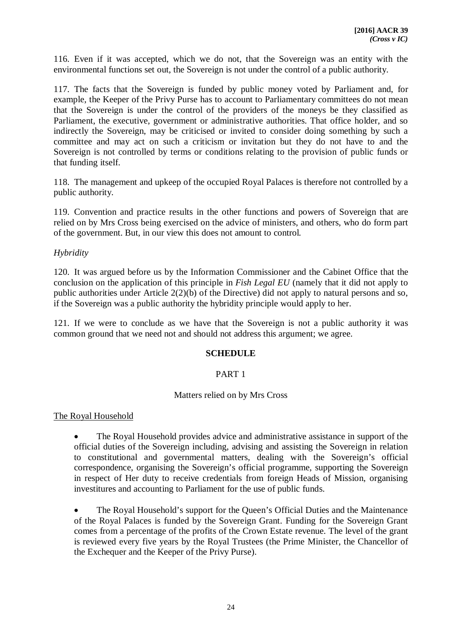116. Even if it was accepted, which we do not, that the Sovereign was an entity with the environmental functions set out, the Sovereign is not under the control of a public authority.

117. The facts that the Sovereign is funded by public money voted by Parliament and, for example, the Keeper of the Privy Purse has to account to Parliamentary committees do not mean that the Sovereign is under the control of the providers of the moneys be they classified as Parliament, the executive, government or administrative authorities. That office holder, and so indirectly the Sovereign, may be criticised or invited to consider doing something by such a committee and may act on such a criticism or invitation but they do not have to and the Sovereign is not controlled by terms or conditions relating to the provision of public funds or that funding itself.

118. The management and upkeep of the occupied Royal Palaces is therefore not controlled by a public authority.

119. Convention and practice results in the other functions and powers of Sovereign that are relied on by Mrs Cross being exercised on the advice of ministers, and others, who do form part of the government. But, in our view this does not amount to control.

### *Hybridity*

120. It was argued before us by the Information Commissioner and the Cabinet Office that the conclusion on the application of this principle in *Fish Legal EU* (namely that it did not apply to public authorities under Article 2(2)(b) of the Directive) did not apply to natural persons and so, if the Sovereign was a public authority the hybridity principle would apply to her.

121. If we were to conclude as we have that the Sovereign is not a public authority it was common ground that we need not and should not address this argument; we agree.

#### **SCHEDULE**

# PART 1

#### Matters relied on by Mrs Cross

#### The Royal Household

 The Royal Household provides advice and administrative assistance in support of the official duties of the Sovereign including, advising and assisting the Sovereign in relation to constitutional and governmental matters, dealing with the Sovereign's official correspondence, organising the Sovereign's official programme, supporting the Sovereign in respect of Her duty to receive credentials from foreign Heads of Mission, organising investitures and accounting to Parliament for the use of public funds.

 The Royal Household's support for the Queen's Official Duties and the Maintenance of the Royal Palaces is funded by the Sovereign Grant. Funding for the Sovereign Grant comes from a percentage of the profits of the Crown Estate revenue. The level of the grant is reviewed every five years by the Royal Trustees (the Prime Minister, the Chancellor of the Exchequer and the Keeper of the Privy Purse).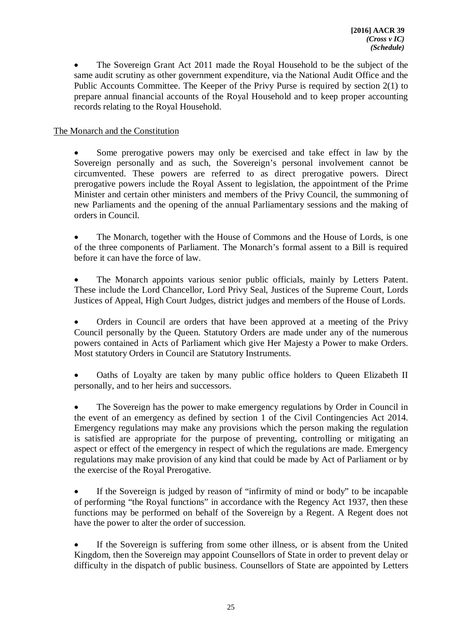The Sovereign Grant Act 2011 made the Royal Household to be the subject of the same audit scrutiny as other government expenditure, via the National Audit Office and the Public Accounts Committee. The Keeper of the Privy Purse is required by section 2(1) to prepare annual financial accounts of the Royal Household and to keep proper accounting records relating to the Royal Household.

# The Monarch and the Constitution

 Some prerogative powers may only be exercised and take effect in law by the Sovereign personally and as such, the Sovereign's personal involvement cannot be circumvented. These powers are referred to as direct prerogative powers. Direct prerogative powers include the Royal Assent to legislation, the appointment of the Prime Minister and certain other ministers and members of the Privy Council, the summoning of new Parliaments and the opening of the annual Parliamentary sessions and the making of orders in Council.

 The Monarch, together with the House of Commons and the House of Lords, is one of the three components of Parliament. The Monarch's formal assent to a Bill is required before it can have the force of law.

 The Monarch appoints various senior public officials, mainly by Letters Patent. These include the Lord Chancellor, Lord Privy Seal, Justices of the Supreme Court, Lords Justices of Appeal, High Court Judges, district judges and members of the House of Lords.

 Orders in Council are orders that have been approved at a meeting of the Privy Council personally by the Queen. Statutory Orders are made under any of the numerous powers contained in Acts of Parliament which give Her Majesty a Power to make Orders. Most statutory Orders in Council are Statutory Instruments.

 Oaths of Loyalty are taken by many public office holders to Queen Elizabeth II personally, and to her heirs and successors.

 The Sovereign has the power to make emergency regulations by Order in Council in the event of an emergency as defined by section 1 of the Civil Contingencies Act 2014. Emergency regulations may make any provisions which the person making the regulation is satisfied are appropriate for the purpose of preventing, controlling or mitigating an aspect or effect of the emergency in respect of which the regulations are made. Emergency regulations may make provision of any kind that could be made by Act of Parliament or by the exercise of the Royal Prerogative.

 If the Sovereign is judged by reason of "infirmity of mind or body" to be incapable of performing "the Royal functions" in accordance with the Regency Act 1937, then these functions may be performed on behalf of the Sovereign by a Regent. A Regent does not have the power to alter the order of succession.

 If the Sovereign is suffering from some other illness, or is absent from the United Kingdom, then the Sovereign may appoint Counsellors of State in order to prevent delay or difficulty in the dispatch of public business. Counsellors of State are appointed by Letters